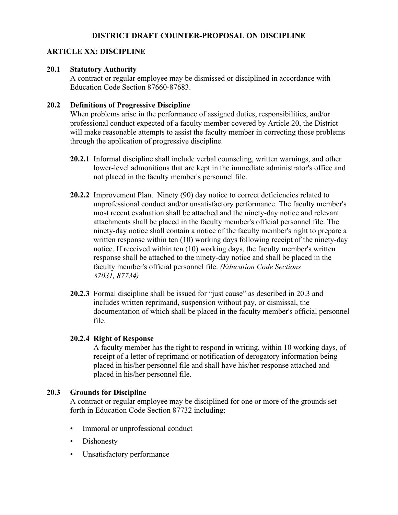# **DISTRICT DRAFT COUNTER-PROPOSAL ON DISCIPLINE**

## **ARTICLE XX: DISCIPLINE**

#### **20.1 Statutory Authority**

A contract or regular employee may be dismissed or disciplined in accordance with Education Code Section 87660-87683.

#### **20.2 Definitions of Progressive Discipline**

When problems arise in the performance of assigned duties, responsibilities, and/or professional conduct expected of a faculty member covered by Article 20, the District will make reasonable attempts to assist the faculty member in correcting those problems through the application of progressive discipline.

- **20.2.1** Informal discipline shall include verbal counseling, written warnings, and other lower-level admonitions that are kept in the immediate administrator's office and not placed in the faculty member's personnel file.
- **20.2.2** Improvement Plan. Ninety (90) day notice to correct deficiencies related to unprofessional conduct and/or unsatisfactory performance. The faculty member's most recent evaluation shall be attached and the ninety-day notice and relevant attachments shall be placed in the faculty member's official personnel file. The ninety-day notice shall contain a notice of the faculty member's right to prepare a written response within ten (10) working days following receipt of the ninety-day notice. If received within ten (10) working days, the faculty member's written response shall be attached to the ninety-day notice and shall be placed in the faculty member's official personnel file. *(Education Code Sections 87031, 87734)*
- **20.2.3** Formal discipline shall be issued for "just cause" as described in 20.3 and includes written reprimand, suspension without pay, or dismissal, the documentation of which shall be placed in the faculty member's official personnel file.

### **20.2.4 Right of Response**

A faculty member has the right to respond in writing, within 10 working days, of receipt of a letter of reprimand or notification of derogatory information being placed in his/her personnel file and shall have his/her response attached and placed in his/her personnel file.

### **20.3 Grounds for Discipline**

A contract or regular employee may be disciplined for one or more of the grounds set forth in Education Code Section 87732 including:

- Immoral or unprofessional conduct
- Dishonesty
- Unsatisfactory performance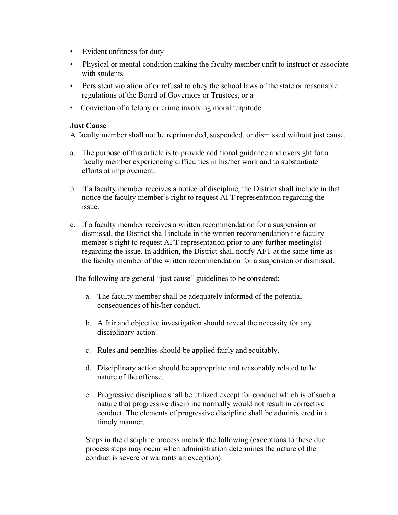- Evident unfitness for duty
- Physical or mental condition making the faculty member unfit to instruct or associate with students
- Persistent violation of or refusal to obey the school laws of the state or reasonable regulations of the Board of Governors or Trustees, or a
- Conviction of a felony or crime involving moral turpitude.

#### **Just Cause**

A faculty member shall not be reprimanded, suspended, or dismissed without just cause.

- a. The purpose of this article is to provide additional guidance and oversight for a faculty member experiencing difficulties in his/her work and to substantiate efforts at improvement.
- b. If a faculty member receives a notice of discipline, the District shall include in that notice the faculty member's right to request AFT representation regarding the issue.
- c. If a faculty member receives a written recommendation for a suspension or dismissal, the District shall include in the written recommendation the faculty member's right to request AFT representation prior to any further meeting(s) regarding the issue. In addition, the District shall notify AFT at the same time as the faculty member of the written recommendation for a suspension or dismissal.

The following are general "just cause" guidelines to be considered:

- a. The faculty member shall be adequately informed of the potential consequences of his/her conduct.
- b. A fair and objective investigation should reveal the necessity for any disciplinary action.
- c. Rules and penalties should be applied fairly and equitably.
- d. Disciplinary action should be appropriate and reasonably related tothe nature of the offense.
- e. Progressive discipline shall be utilized except for conduct which is of such a nature that progressive discipline normally would not result in corrective conduct. The elements of progressive discipline shall be administered in a timely manner.

Steps in the discipline process include the following (exceptions to these due process steps may occur when administration determines the nature of the conduct is severe or warrants an exception):